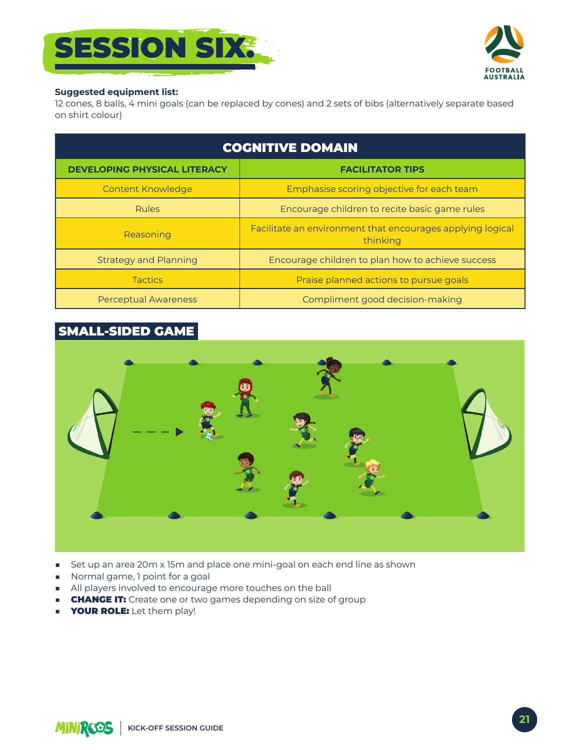



#### **Suggested equipment list:**

12 cones, 8 balls, 4 mini goals (can be replaced by cones) and 2 sets of bibs (alternatively separate based on shirt colour)

| <b>COGNITIVE DOMAIN</b>             |                                                                        |
|-------------------------------------|------------------------------------------------------------------------|
| <b>DEVELOPING PHYSICAL LITERACY</b> | <b>FACILITATOR TIPS</b>                                                |
| <b>Content Knowledge</b>            | Emphasise scoring objective for each team                              |
| <b>Rules</b>                        | Encourage children to recite basic game rules                          |
| Reasoning                           | Facilitate an environment that encourages applying logical<br>thinking |
| <b>Strategy and Planning</b>        | Encourage children to plan how to achieve success                      |
| <b>Tactics</b>                      | Praise planned actions to pursue goals                                 |
| <b>Perceptual Awareness</b>         | Compliment good decision-making                                        |

# **SMALL-SIDED GAME**



- Set up an area 20m x 15m and place one mini-goal on each end line as shown  $\mathcal{L}_{\mathcal{A}}$
- Normal game, 1 point for a goal
- All players involved to encourage more touches on the ball
- **CHANGE IT:** Create one or two games depending on size of group  $\mathcal{L}_{\mathcal{A}}$
- **YOUR ROLE:** Let them play!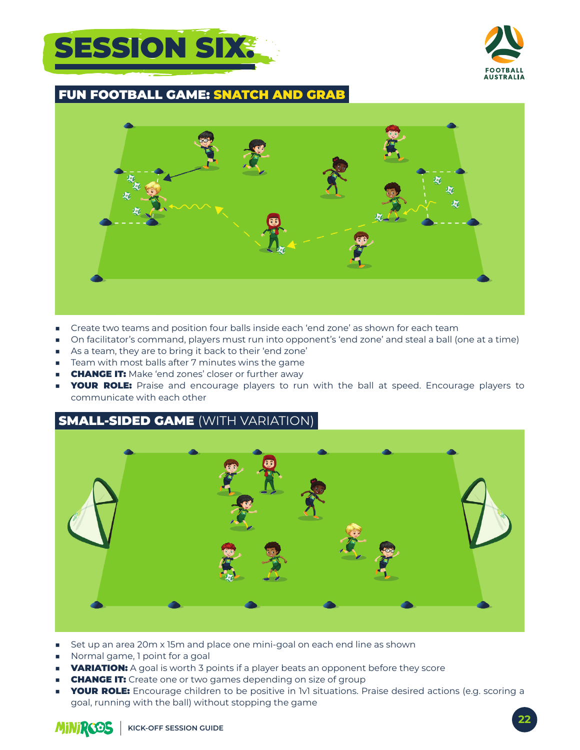



### FUN FOOTBALL GAME: SNATCH AND GRAB



- Create two teams and position four balls inside each 'end zone' as shown for each team
- On facilitator's command, players must run into opponent's 'end zone' and steal a ball (one at a time)
- As a team, they are to bring it back to their 'end zone'
- Team with most balls after 7 minutes wins the game
- **CHANGE IT:** Make 'end zones' closer or further away
- **YOUR ROLE:** Praise and encourage players to run with the ball at speed. Encourage players to communicate with each other

## **SMALL-SIDED GAME (WITH VARIATION)**



- Set up an area 20m x 15m and place one mini-goal on each end line as shown
- Normal game, 1 point for a goal
- **VARIATION:** A goal is worth 3 points if a player beats an opponent before they score
- **CHANGE IT:** Create one or two games depending on size of group
- **YOUR ROLE:** Encourage children to be positive in 1v1 situations. Praise desired actions (e.g. scoring a goal, running with the ball) without stopping the game